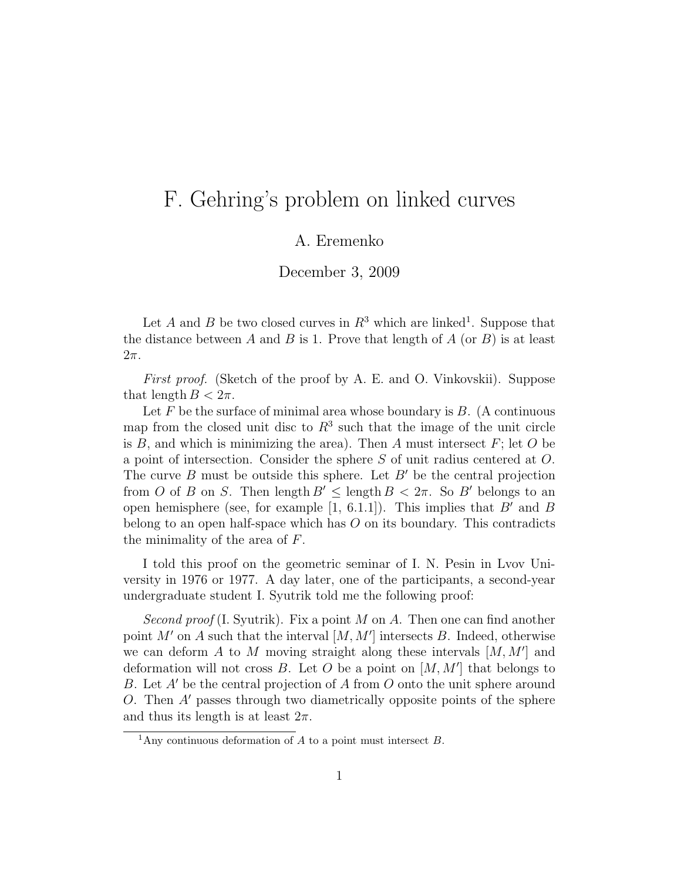## F. Gehring's problem on linked curves

## A. Eremenko

December 3, 2009

Let A and B be two closed curves in  $R^3$  which are linked<sup>1</sup>. Suppose that the distance between A and B is 1. Prove that length of  $A$  (or  $B$ ) is at least  $2\pi$ .

First proof. (Sketch of the proof by A. E. and O. Vinkovskii). Suppose that length  $B < 2\pi$ .

Let  $F$  be the surface of minimal area whose boundary is  $B$ . (A continuous map from the closed unit disc to  $R^3$  such that the image of the unit circle is  $B$ , and which is minimizing the area). Then  $A$  must intersect  $F$ ; let  $O$  be a point of intersection. Consider the sphere S of unit radius centered at O. The curve  $B$  must be outside this sphere. Let  $B'$  be the central projection from O of B on S. Then length  $B' \leq \text{length } B < 2\pi$ . So B' belongs to an open hemisphere (see, for example [1, 6.1.1]). This implies that  $B'$  and  $B$ belong to an open half-space which has  $O$  on its boundary. This contradicts the minimality of the area of F.

I told this proof on the geometric seminar of I. N. Pesin in Lvov University in 1976 or 1977. A day later, one of the participants, a second-year undergraduate student I. Syutrik told me the following proof:

Second proof (I. Syutrik). Fix a point M on A. Then one can find another point  $M'$  on A such that the interval  $[M, M']$  intersects B. Indeed, otherwise we can deform  $A$  to  $M$  moving straight along these intervals  $[M, M']$  and deformation will not cross  $B$ . Let  $O$  be a point on  $[M, M']$  that belongs to B. Let A' be the central projection of A from O onto the unit sphere around O. Then A′ passes through two diametrically opposite points of the sphere and thus its length is at least  $2\pi$ .

<sup>&</sup>lt;sup>1</sup>Any continuous deformation of  $A$  to a point must intersect  $B$ .